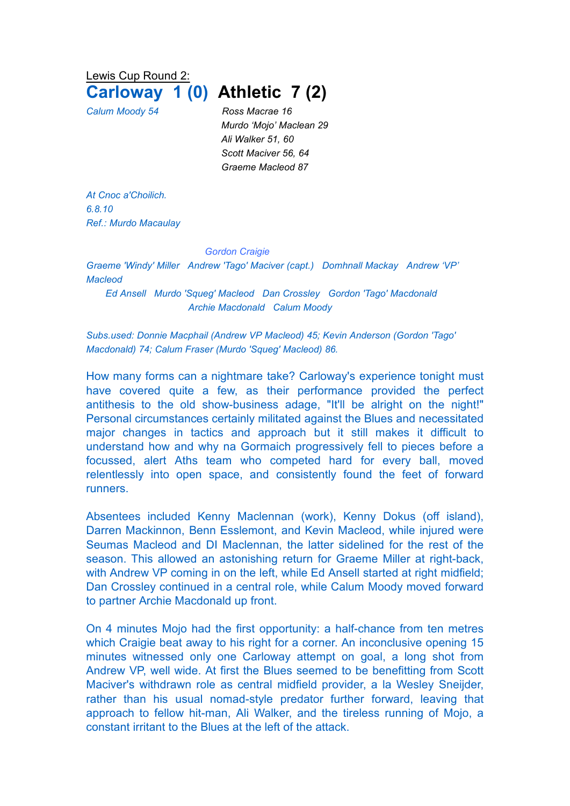Lewis Cup Round 2:

## **Carloway 1 (0) Athletic 7 (2)**

*Calum Moody 54 Ross Macrae 16 Murdo 'Mojo' Maclean 29 Ali Walker 51, 60 Scott Maciver 56, 64 Graeme Macleod 87*

*At Cnoc a'Choilich. 6.8.10 Ref.: Murdo Macaulay*

## *Gordon Craigie*

*Graeme 'Windy' Miller Andrew 'Tago' Maciver (capt.) Domhnall Mackay Andrew 'VP' Macleod*

*Ed Ansell Murdo 'Squeg' Macleod Dan Crossley Gordon 'Tago' Macdonald Archie Macdonald Calum Moody*

*Subs.used: Donnie Macphail (Andrew VP Macleod) 45; Kevin Anderson (Gordon 'Tago' Macdonald) 74; Calum Fraser (Murdo 'Squeg' Macleod) 86.*

How many forms can a nightmare take? Carloway's experience tonight must have covered quite a few, as their performance provided the perfect antithesis to the old show-business adage, "It'll be alright on the night!" Personal circumstances certainly militated against the Blues and necessitated major changes in tactics and approach but it still makes it difficult to understand how and why na Gormaich progressively fell to pieces before a focussed, alert Aths team who competed hard for every ball, moved relentlessly into open space, and consistently found the feet of forward runners.

Absentees included Kenny Maclennan (work), Kenny Dokus (off island), Darren Mackinnon, Benn Esslemont, and Kevin Macleod, while injured were Seumas Macleod and DI Maclennan, the latter sidelined for the rest of the season. This allowed an astonishing return for Graeme Miller at right-back, with Andrew VP coming in on the left, while Ed Ansell started at right midfield; Dan Crossley continued in a central role, while Calum Moody moved forward to partner Archie Macdonald up front.

On 4 minutes Mojo had the first opportunity: a half-chance from ten metres which Craigie beat away to his right for a corner. An inconclusive opening 15 minutes witnessed only one Carloway attempt on goal, a long shot from Andrew VP, well wide. At first the Blues seemed to be benefitting from Scott Maciver's withdrawn role as central midfield provider, a la Wesley Sneijder, rather than his usual nomad-style predator further forward, leaving that approach to fellow hit-man, Ali Walker, and the tireless running of Mojo, a constant irritant to the Blues at the left of the attack.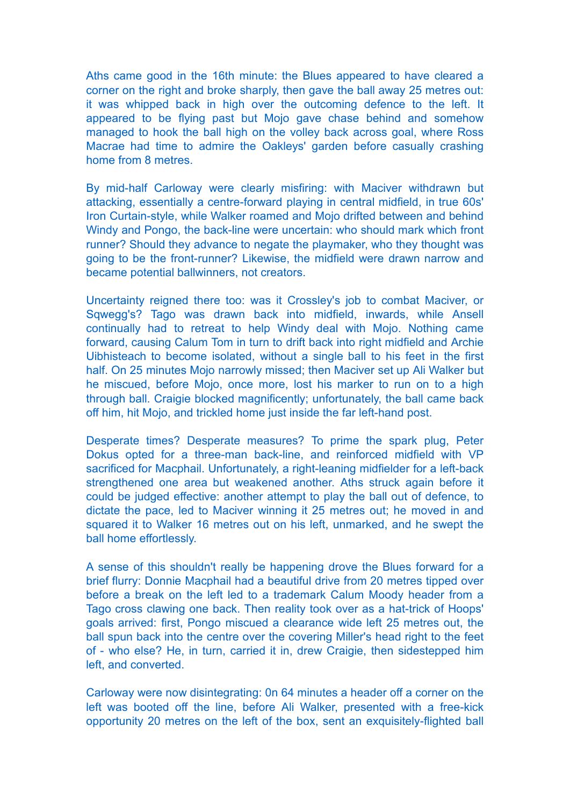Aths came good in the 16th minute: the Blues appeared to have cleared a corner on the right and broke sharply, then gave the ball away 25 metres out: it was whipped back in high over the outcoming defence to the left. It appeared to be flying past but Mojo gave chase behind and somehow managed to hook the ball high on the volley back across goal, where Ross Macrae had time to admire the Oakleys' garden before casually crashing home from 8 metres.

By mid-half Carloway were clearly misfiring: with Maciver withdrawn but attacking, essentially a centre-forward playing in central midfield, in true 60s' Iron Curtain-style, while Walker roamed and Mojo drifted between and behind Windy and Pongo, the back-line were uncertain: who should mark which front runner? Should they advance to negate the playmaker, who they thought was going to be the front-runner? Likewise, the midfield were drawn narrow and became potential ballwinners, not creators.

Uncertainty reigned there too: was it Crossley's job to combat Maciver, or Sqwegg's? Tago was drawn back into midfield, inwards, while Ansell continually had to retreat to help Windy deal with Mojo. Nothing came forward, causing Calum Tom in turn to drift back into right midfield and Archie Uibhisteach to become isolated, without a single ball to his feet in the first half. On 25 minutes Mojo narrowly missed; then Maciver set up Ali Walker but he miscued, before Mojo, once more, lost his marker to run on to a high through ball. Craigie blocked magnificently; unfortunately, the ball came back off him, hit Mojo, and trickled home just inside the far left-hand post.

Desperate times? Desperate measures? To prime the spark plug, Peter Dokus opted for a three-man back-line, and reinforced midfield with VP sacrificed for Macphail. Unfortunately, a right-leaning midfielder for a left-back strengthened one area but weakened another. Aths struck again before it could be judged effective: another attempt to play the ball out of defence, to dictate the pace, led to Maciver winning it 25 metres out; he moved in and squared it to Walker 16 metres out on his left, unmarked, and he swept the ball home effortlessly.

A sense of this shouldn't really be happening drove the Blues forward for a brief flurry: Donnie Macphail had a beautiful drive from 20 metres tipped over before a break on the left led to a trademark Calum Moody header from a Tago cross clawing one back. Then reality took over as a hat-trick of Hoops' goals arrived: first, Pongo miscued a clearance wide left 25 metres out, the ball spun back into the centre over the covering Miller's head right to the feet of - who else? He, in turn, carried it in, drew Craigie, then sidestepped him left, and converted.

Carloway were now disintegrating: 0n 64 minutes a header off a corner on the left was booted off the line, before Ali Walker, presented with a free-kick opportunity 20 metres on the left of the box, sent an exquisitely-flighted ball